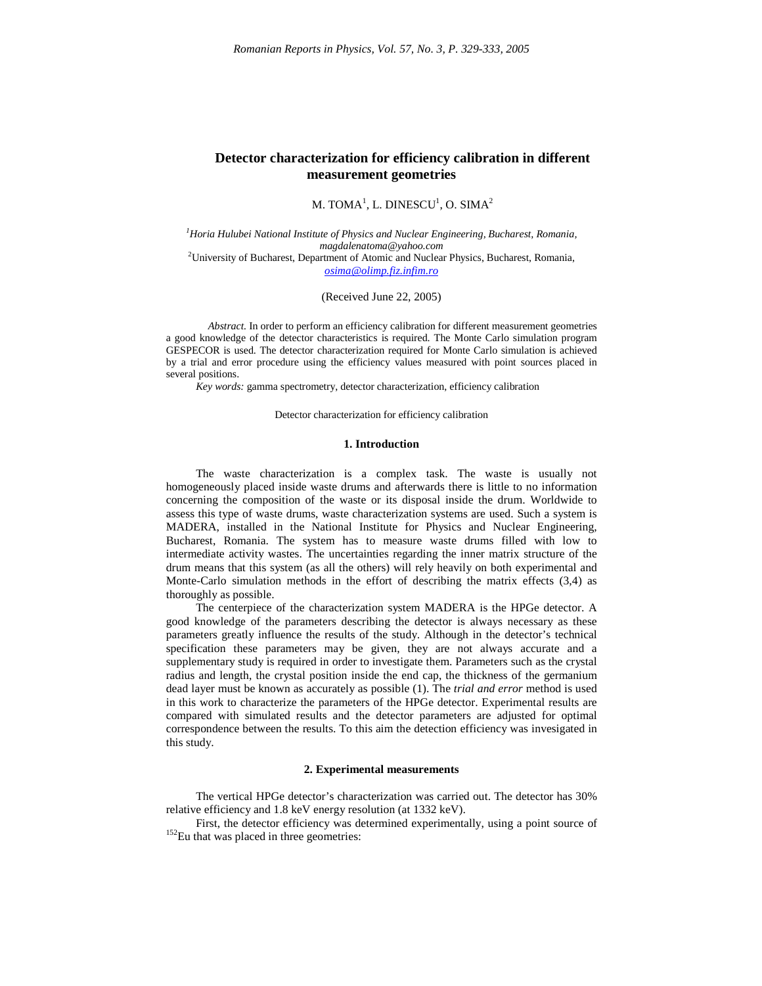# **Detector characterization for efficiency calibration in different measurement geometries**

M. TOMA $^1$ , L. DINESCU $^1$ , O. SIMA $^2$ 

*<sup>1</sup>Horia Hulubei National Institute of Physics and Nuclear Engineering, Bucharest, Romania, magdalenatoma@yahoo.com* <sup>2</sup>University of Bucharest, Department of Atomic and Nuclear Physics, Bucharest, Romania, *osima@olimp.fiz.infim.ro*

(Received June 22, 2005)

*Abstract.* In order to perform an efficiency calibration for different measurement geometries a good knowledge of the detector characteristics is required. The Monte Carlo simulation program GESPECOR is used. The detector characterization required for Monte Carlo simulation is achieved by a trial and error procedure using the efficiency values measured with point sources placed in several positions.

*Key words:* gamma spectrometry, detector characterization, efficiency calibration

Detector characterization for efficiency calibration

## **1. Introduction**

The waste characterization is a complex task. The waste is usually not homogeneously placed inside waste drums and afterwards there is little to no information concerning the composition of the waste or its disposal inside the drum. Worldwide to assess this type of waste drums, waste characterization systems are used. Such a system is MADERA, installed in the National Institute for Physics and Nuclear Engineering, Bucharest, Romania. The system has to measure waste drums filled with low to intermediate activity wastes. The uncertainties regarding the inner matrix structure of the drum means that this system (as all the others) will rely heavily on both experimental and Monte-Carlo simulation methods in the effort of describing the matrix effects (3,4) as thoroughly as possible.

The centerpiece of the characterization system MADERA is the HPGe detector. A good knowledge of the parameters describing the detector is always necessary as these parameters greatly influence the results of the study. Although in the detector's technical specification these parameters may be given, they are not always accurate and a supplementary study is required in order to investigate them. Parameters such as the crystal radius and length, the crystal position inside the end cap, the thickness of the germanium dead layer must be known as accurately as possible (1). The *trial and error* method is used in this work to characterize the parameters of the HPGe detector. Experimental results are compared with simulated results and the detector parameters are adjusted for optimal correspondence between the results. To this aim the detection efficiency was invesigated in this study.

#### **2. Experimental measurements**

The vertical HPGe detector's characterization was carried out. The detector has 30% relative efficiency and 1.8 keV energy resolution (at 1332 keV).

First, the detector efficiency was determined experimentally, using a point source of  $152$ Eu that was placed in three geometries: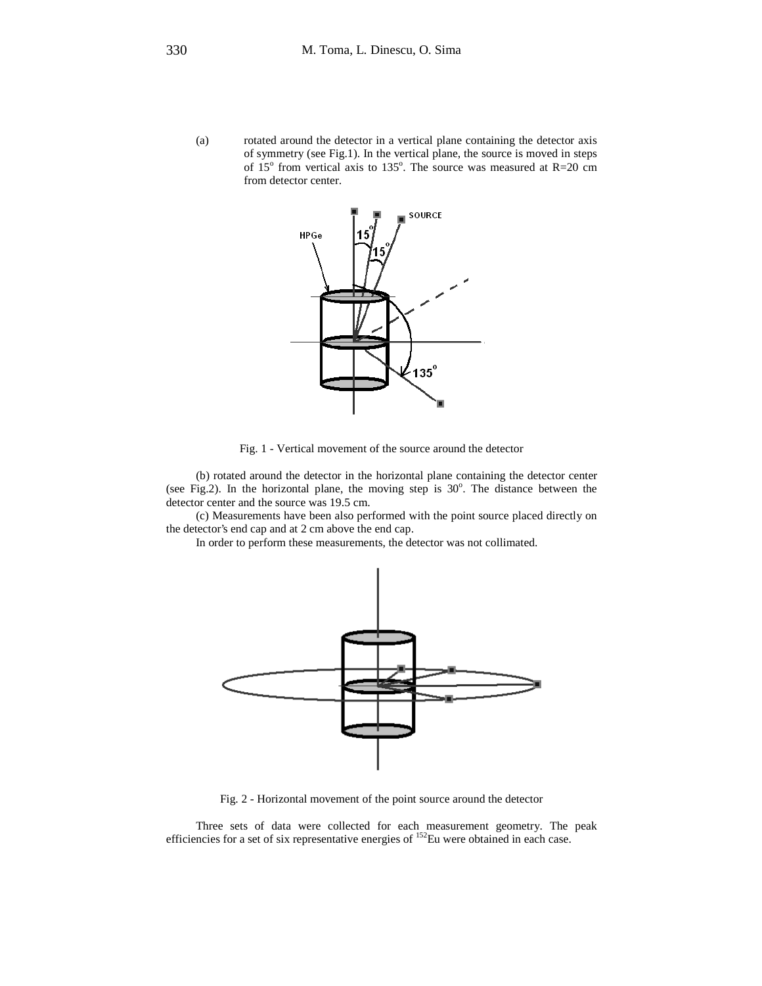(a) rotated around the detector in a vertical plane containing the detector axis of symmetry (see Fig.1). In the vertical plane, the source is moved in steps of  $15^{\circ}$  from vertical axis to  $135^{\circ}$ . The source was measured at R=20 cm from detector center.



Fig. 1 - Vertical movement of the source around the detector

(b) rotated around the detector in the horizontal plane containing the detector center (see Fig.2). In the horizontal plane, the moving step is  $30^\circ$ . The distance between the detector center and the source was 19.5 cm.

(c) Measurements have been also performed with the point source placed directly on the detector's end cap and at 2 cm above the end cap.

In order to perform these measurements, the detector was not collimated.



Fig. 2 - Horizontal movement of the point source around the detector

Three sets of data were collected for each measurement geometry. The peak efficiencies for a set of six representative energies of <sup>152</sup>Eu were obtained in each case.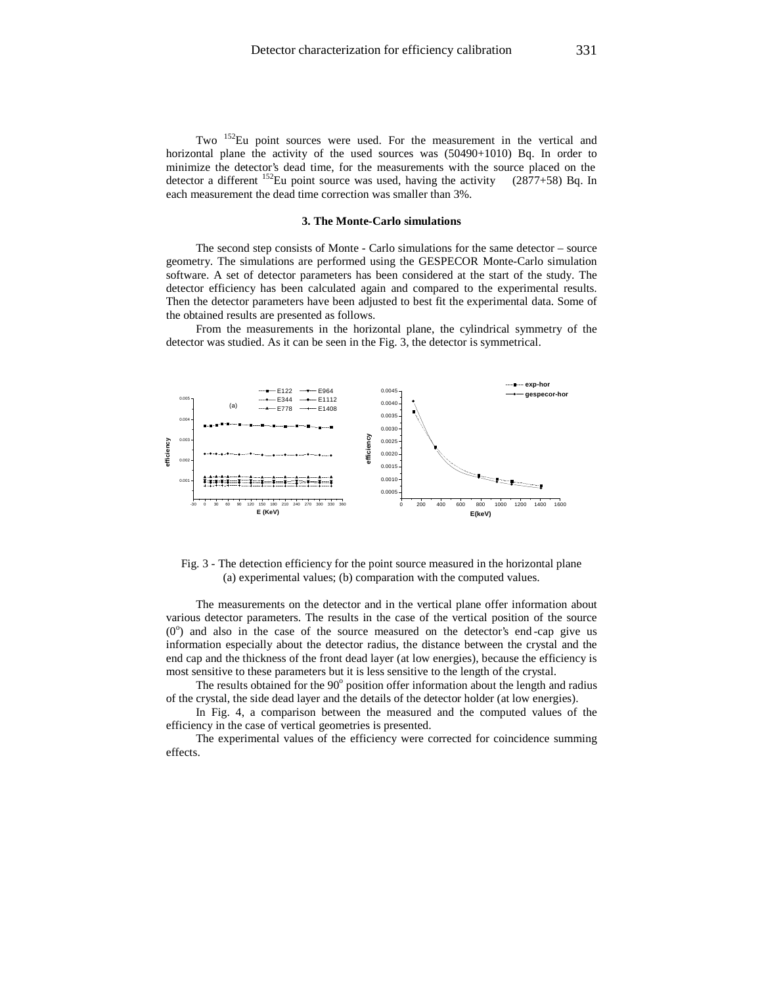Two <sup>152</sup>Eu point sources were used. For the measurement in the vertical and horizontal plane the activity of the used sources was (50490+1010) Bq. In order to minimize the detector's dead time, for the measurements with the source placed on the detector a different <sup>152</sup>Eu point source was used, having the activity (2877+58) Bq. In each measurement the dead time correction was smaller than 3%.

#### **3. The Monte-Carlo simulations**

The second step consists of Monte - Carlo simulations for the same detector – source geometry. The simulations are performed using the GESPECOR Monte-Carlo simulation software. A set of detector parameters has been considered at the start of the study. The detector efficiency has been calculated again and compared to the experimental results. Then the detector parameters have been adjusted to best fit the experimental data. Some of the obtained results are presented as follows.

From the measurements in the horizontal plane, the cylindrical symmetry of the detector was studied. As it can be seen in the Fig. 3, the detector is symmetrical.



Fig. 3 - The detection efficiency for the point source measured in the horizontal plane (a) experimental values; (b) comparation with the computed values.

The measurements on the detector and in the vertical plane offer information about various detector parameters. The results in the case of the vertical position of the source  $(0^{\circ})$  and also in the case of the source measured on the detector's end-cap give us information especially about the detector radius, the distance between the crystal and the end cap and the thickness of the front dead layer (at low energies), because the efficiency is most sensitive to these parameters but it is less sensitive to the length of the crystal.

The results obtained for the  $90^{\circ}$  position offer information about the length and radius of the crystal, the side dead layer and the details of the detector holder (at low energies).

In Fig. 4, a comparison between the measured and the computed values of the efficiency in the case of vertical geometries is presented.

The experimental values of the efficiency were corrected for coincidence summing effects.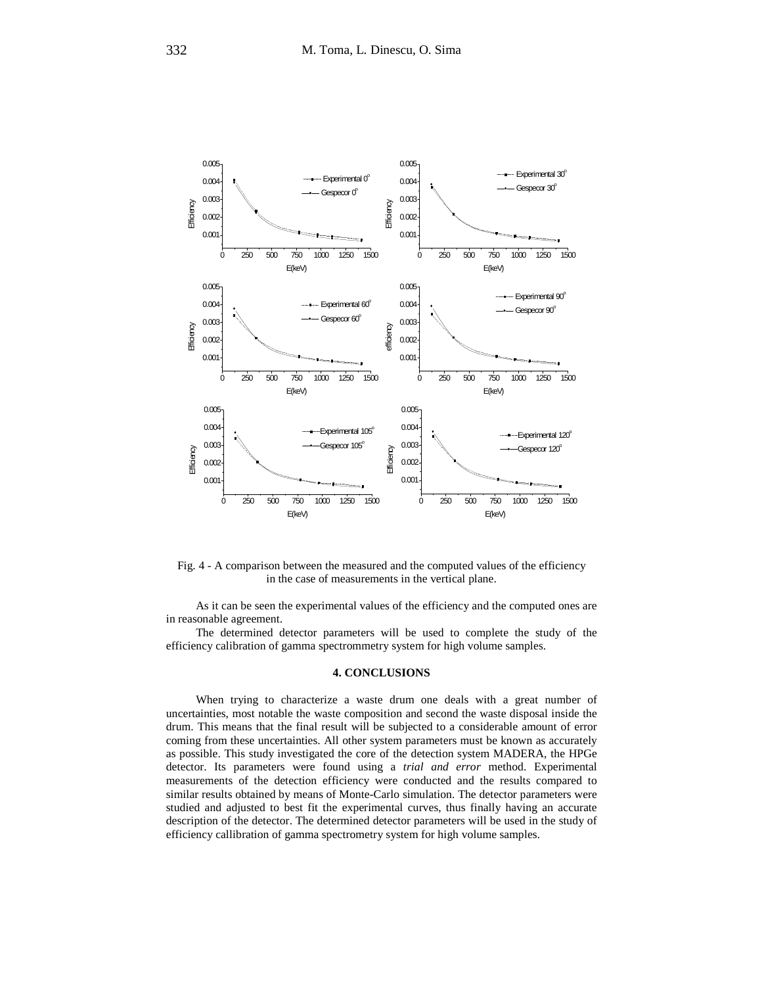

Fig. 4 - A comparison between the measured and the computed values of the efficiency in the case of measurements in the vertical plane.

As it can be seen the experimental values of the efficiency and the computed ones are in reasonable agreement.

The determined detector parameters will be used to complete the study of the efficiency calibration of gamma spectrommetry system for high volume samples.

### **4. CONCLUSIONS**

When trying to characterize a waste drum one deals with a great number of uncertainties, most notable the waste composition and second the waste disposal inside the drum. This means that the final result will be subjected to a considerable amount of error coming from these uncertainties. All other system parameters must be known as accurately as possible. This study investigated the core of the detection system MADERA, the HPGe detector. Its parameters were found using a *trial and error* method. Experimental measurements of the detection efficiency were conducted and the results compared to similar results obtained by means of Monte-Carlo simulation. The detector parameters were studied and adjusted to best fit the experimental curves, thus finally having an accurate description of the detector. The determined detector parameters will be used in the study of efficiency callibration of gamma spectrometry system for high volume samples.